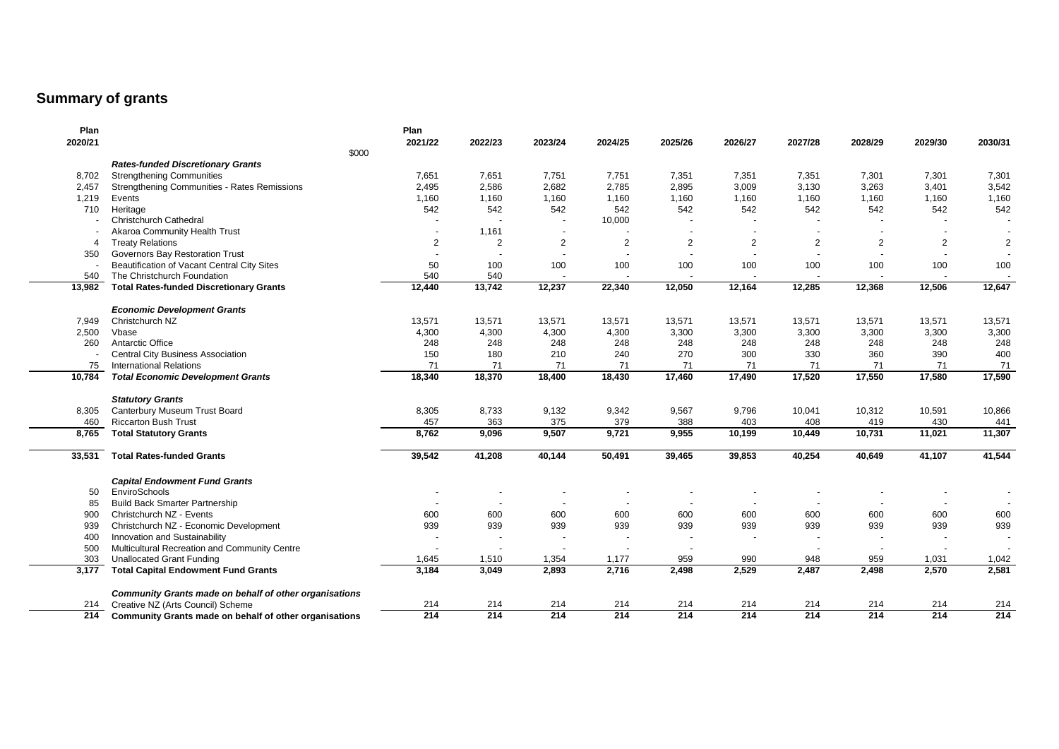## **Summary of grants**

| Plan    |                                                               | Plan           |         |                          |                          |                |         |                          |                          |                          |                          |
|---------|---------------------------------------------------------------|----------------|---------|--------------------------|--------------------------|----------------|---------|--------------------------|--------------------------|--------------------------|--------------------------|
| 2020/21 |                                                               | 2021/22        | 2022/23 | 2023/24                  | 2024/25                  | 2025/26        | 2026/27 | 2027/28                  | 2028/29                  | 2029/30                  | 2030/31                  |
|         | \$000                                                         |                |         |                          |                          |                |         |                          |                          |                          |                          |
|         | <b>Rates-funded Discretionary Grants</b>                      |                |         |                          |                          |                |         |                          |                          |                          |                          |
| 8,702   | <b>Strengthening Communities</b>                              | 7,651          | 7,651   | 7,751                    | 7,751                    | 7,351          | 7,351   | 7,351                    | 7,301                    | 7,301                    | 7,301                    |
| 2,457   | Strengthening Communities - Rates Remissions                  | 2,495          | 2,586   | 2,682                    | 2,785                    | 2,895          | 3,009   | 3,130                    | 3,263                    | 3,401                    | 3,542                    |
| 1,219   | Events                                                        | 1,160          | 1,160   | 1,160                    | 1,160                    | 1,160          | 1,160   | 1,160                    | 1,160                    | 1,160                    | 1,160                    |
| 710     | Heritage                                                      | 542            | 542     | 542                      | 542                      | 542            | 542     | 542                      | 542                      | 542                      | 542                      |
|         | Christchurch Cathedral                                        |                |         |                          | 10,000                   |                |         |                          |                          |                          |                          |
|         | Akaroa Community Health Trust                                 |                | 1,161   |                          |                          |                |         |                          |                          |                          |                          |
| 4       | <b>Treaty Relations</b>                                       | $\overline{2}$ | 2       | $\overline{2}$           | $\overline{2}$           | $\overline{2}$ | 2       | 2                        | 2                        | $\overline{2}$           | $\overline{2}$           |
| 350     | Governors Bay Restoration Trust                               |                |         | $\overline{\phantom{a}}$ | $\overline{\phantom{a}}$ |                |         | $\overline{\phantom{a}}$ | $\blacksquare$           | $\overline{a}$           |                          |
|         | Beautification of Vacant Central City Sites                   | 50             | 100     | 100                      | 100                      | 100            | 100     | 100                      | 100                      | 100                      | 100                      |
| 540     | The Christchurch Foundation                                   | 540            | 540     |                          | $\overline{\phantom{a}}$ |                |         |                          | $\overline{\phantom{a}}$ | $\overline{\phantom{a}}$ | $\overline{\phantom{a}}$ |
| 13,982  | <b>Total Rates-funded Discretionary Grants</b>                | 12,440         | 13,742  | 12,237                   | 22,340                   | 12,050         | 12,164  | 12,285                   | 12,368                   | 12,506                   | 12,647                   |
|         | <b>Economic Development Grants</b>                            |                |         |                          |                          |                |         |                          |                          |                          |                          |
| 7,949   | Christchurch NZ                                               | 13,571         | 13,571  | 13,571                   | 13,571                   | 13,571         | 13,571  | 13,571                   | 13,571                   | 13,571                   | 13,571                   |
| 2,500   | Vbase                                                         | 4,300          | 4,300   | 4,300                    | 4,300                    | 3,300          | 3,300   | 3,300                    | 3,300                    | 3,300                    | 3,300                    |
| 260     | Antarctic Office                                              | 248            | 248     | 248                      | 248                      | 248            | 248     | 248                      | 248                      | 248                      | 248                      |
|         | <b>Central City Business Association</b>                      | 150            | 180     | 210                      | 240                      | 270            | 300     | 330                      | 360                      | 390                      | 400                      |
| 75      | <b>International Relations</b>                                | 71             | 71      | 71                       | 71                       | 71             | 71      | 71                       | 71                       | 71                       | 71                       |
| 10,784  | <b>Total Economic Development Grants</b>                      | 18,340         | 18,370  | 18,400                   | 18,430                   | 17,460         | 17,490  | 17,520                   | 17,550                   | 17,580                   | 17,590                   |
|         | <b>Statutory Grants</b>                                       |                |         |                          |                          |                |         |                          |                          |                          |                          |
| 8,305   | Canterbury Museum Trust Board                                 | 8,305          | 8,733   | 9,132                    | 9,342                    | 9,567          | 9,796   | 10,041                   | 10,312                   | 10,591                   | 10,866                   |
| 460     | <b>Riccarton Bush Trust</b>                                   | 457            | 363     | 375                      | 379                      | 388            | 403     | 408                      | 419                      | 430                      | 441                      |
| 8,765   | <b>Total Statutory Grants</b>                                 | 8,762          | 9,096   | 9,507                    | 9,721                    | 9,955          | 10,199  | 10,449                   | 10,731                   | 11,021                   | 11,307                   |
|         |                                                               |                |         |                          |                          |                |         |                          |                          |                          |                          |
| 33,531  | <b>Total Rates-funded Grants</b>                              | 39,542         | 41,208  | 40,144                   | 50,491                   | 39,465         | 39,853  | 40,254                   | 40,649                   | 41,107                   | 41,544                   |
|         | <b>Capital Endowment Fund Grants</b>                          |                |         |                          |                          |                |         |                          |                          |                          |                          |
| 50      | EnviroSchools                                                 |                |         |                          |                          |                |         |                          |                          |                          |                          |
| 85      | <b>Build Back Smarter Partnership</b>                         |                |         |                          |                          |                |         |                          |                          |                          |                          |
| 900     | Christchurch NZ - Events                                      | 600            | 600     | 600                      | 600                      | 600            | 600     | 600                      | 600                      | 600                      | 600                      |
| 939     | Christchurch NZ - Economic Development                        | 939            | 939     | 939                      | 939                      | 939            | 939     | 939                      | 939                      | 939                      | 939                      |
| 400     | Innovation and Sustainability                                 |                |         |                          |                          |                |         |                          |                          |                          |                          |
| 500     | Multicultural Recreation and Community Centre                 |                |         |                          |                          |                |         |                          | $\overline{\phantom{a}}$ |                          |                          |
| 303     | <b>Unallocated Grant Funding</b>                              | 1,645          | 1,510   | 1,354                    | 1,177                    | 959            | 990     | 948                      | 959                      | 1,031                    | 1,042                    |
| 3,177   | <b>Total Capital Endowment Fund Grants</b>                    | 3,184          | 3,049   | 2,893                    | 2,716                    | 2,498          | 2,529   | 2,487                    | 2,498                    | 2,570                    | 2,581                    |
|         | <b>Community Grants made on behalf of other organisations</b> |                |         |                          |                          |                |         |                          |                          |                          |                          |
| 214     | Creative NZ (Arts Council) Scheme                             | 214            | 214     | 214                      | 214                      | 214            | 214     | 214                      | 214                      | 214                      | 214                      |
| 214     | Community Grants made on behalf of other organisations        | 214            | 214     | 214                      | 214                      | 214            | 214     | 214                      | 214                      | 214                      | 214                      |